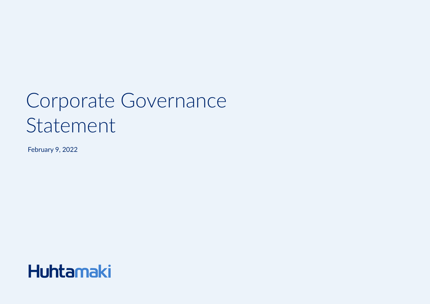# Corporate Governance Statement

February 9, 2022

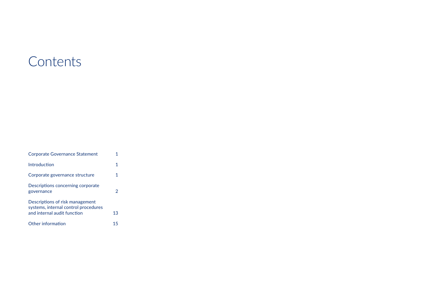## **Contents**

| <b>Corporate Governance Statement</b>                                                                  |    |
|--------------------------------------------------------------------------------------------------------|----|
| Introduction                                                                                           | 1  |
| Corporate governance structure                                                                         | 1  |
| Descriptions concerning corporate<br>governance                                                        | 2  |
| Descriptions of risk management<br>systems, internal control procedures<br>and internal audit function | 13 |
| Other information                                                                                      | 15 |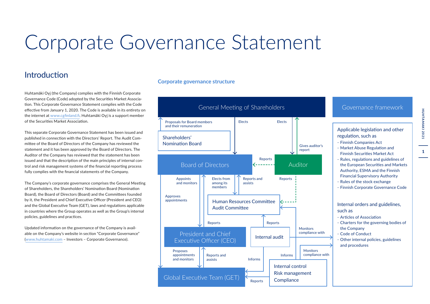## <span id="page-2-0"></span>Corporate Governance Statement

## Introduction

Huhtamäki Oyj (the Company) complies with the Finnish Corporate Governance Code (Code) adopted by the Securities Market Association. This Corporate Governance Statement complies with the Code effective from January 1, 2020. The Code is available in its entirety on the internet at [www.cgfinland.fi.](https://cgfinland.fi/en/) Huhtamäki Oyj is a support member of the Securities Market Association.

This separate Corporate Governance Statement has been issued and published in connection with the Directors' Report. The Audit Committee of the Board of Directors of the Company has reviewed the statement and it has been approved by the Board of Directors. The Auditor of the Company has reviewed that the statement has been issued and that the description of the main principles of internal control and risk management systems of the financial reporting process fully complies with the financial statements of the Company.

The Company's corporate governance comprises the General Meeting of Shareholders, the Shareholders' Nomination Board (Nomination Board), the Board of Directors (Board) and the Committees founded by it, the President and Chief Executive Officer (President and CEO) and the Global Executive Team (GET), laws and regulations applicable in countries where the Group operates as well as the Group's internal policies, guidelines and practices.

Updated information on the governance of the Company is available on the Company's website in section "Corporate Governance" [\(www.huhtamaki.com](https://www.huhtamaki.com/en/investors/corporate-governance/corporate-governance-at-huhtamaki/) – Investors – Corporate Governance).

## **Corporate governance structure**



 $\mathbf{1}$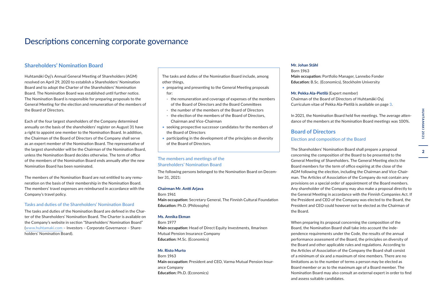## <span id="page-3-0"></span>Descriptions concerning corporate governance

#### **Shareholders' Nomination Board**

Huhtamäki Oyj's Annual General Meeting of Shareholders (AGM) resolved on April 29, 2020 to establish a Shareholders' Nomination Board and to adopt the Charter of the Shareholders' Nomination Board. The Nomination Board was established until further notice. The Nomination Board is responsible for preparing proposals to the General Meeting for the election and remuneration of the members of the Board of Directors.

Each of the four largest shareholders of the Company determined annually on the basis of the shareholders' register on August 31 have a right to appoint one member to the Nomination Board. In addition, the Chairman of the Board of Directors of the Company shall serve as an expert member of the Nomination Board. The representative of the largest shareholder will be the Chairman of the Nomination Board, unless the Nomination Board decides otherwise. The term of office of the members of the Nomination Board ends annually after the new Nomination Board has been nominated.

The members of the Nomination Board are not entitled to any remuneration on the basis of their membership in the Nomination Board. The members' travel expenses are reimbursed in accordance with the Company's travel policy.

#### Tasks and duties of the Shareholders' Nomination Board

The tasks and duties of the Nomination Board are defined in the Charter of the Shareholders' Nomination Board. The Charter is available on the Company's website in section "Shareholders' Nomination Board" [\(www.huhtamaki.com](https://www.huhtamaki.com/en/investors/corporate-governance/shareholders-nomination-board/) – Investors – Corporate Governance – Shareholders' Nomination Board).

The tasks and duties of the Nomination Board include, among other things,

- preparing and presenting to the General Meeting proposals for:
- the remuneration and coverage of expenses of the members of the Board of Directors and the Board Committees
- the number of the members of the Board of Directors
- the election of the members of the Board of Directors, Chairman and Vice-Chairman
- seeking prospective successor candidates for the members of the Board of Directors
- participating in the development of the principles on diversity of the Board of Directors.

#### The members and meetings of the Shareholders' Nomination Board

The following persons belonged to the Nomination Board on December 31, 2021:

#### **Chairman Mr. Antti Arjava**

Born 1961

**Main occupation:** Secretary General, The Finnish Cultural Foundation **Education:** Ph.D. (Philosophy)

#### **Ms. Annika Ekman**

Born 1977

**Main occupation:** Head of Direct Equity Investments, Ilmarinen Mutual Pension Insurance Company **Education:** M.Sc. (Economics)

#### **Mr. Risto Murto**

Born 1963 **Main occupation:** President and CEO, Varma Mutual Pension Insurance Company **Education:** Ph.D. (Economics)

#### **Mr. Johan Ståhl**

Born 1963 **Main occupation:** Portfolio Manager, Lannebo Fonder **Education:** B.Sc. (Economics), Stockholm University

**Mr. Pekka Ala-Pietilä** (Expert member) Chairman of the Board of Directors of Huhtamäki Oyj Curriculum vitae of Pekka Ala-Pietilä is available on page [3](#page-4-0).

In 2021, the Nomination Board held five meetings. The average attendance of the members at the Nomination Board meetings was 100%.

#### **Board of Directors**

#### Election and composition of the Board

The Shareholders' Nomination Board shall prepare a proposal concerning the composition of the Board to be presented to the General Meeting of Shareholders. The General Meeting elects the Board members for the term of office expiring at the close of the AGM following the election, including the Chairman and Vice-Chairman. The Articles of Association of the Company do not contain any provisions on a special order of appointment of the Board members. Any shareholder of the Company may also make a proposal directly to the General Meeting in accordance with the Finnish Companies Act. If the President and CEO of the Company was elected to the Board, the President and CEO could however not be elected as the Chairman of the Board.

When preparing its proposal concerning the composition of the Board, the Nomination Board shall take into account the independence requirements under the Code, the results of the annual performance assessment of the Board, the principles on diversity of the Board and other applicable rules and regulations. According to the Articles of Association of the Company the Board shall consist of a minimum of six and a maximum of nine members. There are no limitations as to the number of terms a person may be elected as Board member or as to the maximum age of a Board member. The Nomination Board may also consult an external expert in order to find and assess suitable candidates.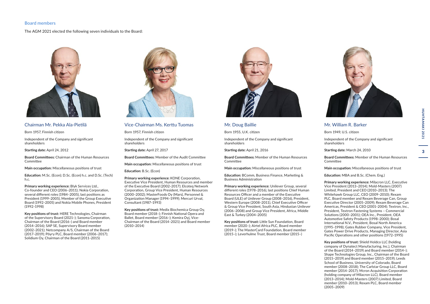#### <span id="page-4-0"></span>Board members

#### The AGM 2021 elected the following seven individuals to the Board:



#### Chairman Mr. Pekka Ala-Pietilä

Born 1957, Finnish citizen

Independent of the Company and significant shareholders

#### **Starting date:** April 24, 2012

**Board Committees:** Chairman of the Human Resources **Committee** 

**Main occupation:** Miscellaneous positions of trust

**Education:** M.Sc. (Econ); D.Sc. (Econ) h.c. and D.Sc. (Tech) h.c.

**Primary working experience:** Blyk Services Ltd., Co-founder and CEO (2006–2011); Nokia Corporation, several different roles (1984–2005), last positions as President (1999–2005), Member of the Group Executive Board (1992–2005) and Nokia Mobile Phones, President (1992–1998)

**Key positions of trust:** HERE Technologies, Chairman of the Supervisory Board (2021–); Sanoma Corporation, Chairman of the Board (2016–) and Board member (2014–2016); SAP SE, Supervisory Board member (2002–2021); Netcompany A/S, Chairman of the Board (2017–2019); Pöyry PLC, Board member (2006–2017); Solidium Oy, Chairman of the Board (2011–2015)



#### Vice-Chairman Ms. Kerttu Tuomas

Born 1957, Finnish citizen

Independent of the Company and significant shareholders

**Starting date:** April 27, 2017

**Board Committees:** Member of the Audit Committee

**Main occupation:** Miscellaneous positions of trust

**Education:** B.Sc. (Econ)

**Primary working experience:** KONE Corporation, Executive Vice President, Human Resources and member of the Executive Board (2002–2017); Elcoteq Network Corporation, Group Vice President, Human Resources (2000–2002); MasterFoods Oy (Mars), Personnel & Organization Manager (1994–1999); Mercuri Urval, Consultant (1987–1993)

**Key positions of trust:** Medix Biochemica Group Oy, Board member (2018–); Finnish National Opera and Ballet, Board member (2016–); Kemira Oyj, Vice-Chairman of the Board (2014–2021) and Board member (2010–2014)



#### Mr. Doug Baillie

Born 1955, U.K. citizen

Independent of the Company and significant shareholders

**Starting date:** April 21, 2016

**Board Committees:** Member of the Human Resources Committee

**Main occupation:** Miscellaneous positions of trust

**Education:** BComm, Business Finance, Marketing & Business Administration

**Primary working experience:** Unilever Group, several different roles (1978–2016), last positions Chief Human Resources Officer and a member of the Executive Board (ULE) of Unilever Group (2008–2016), President, Western Europe (2008–2011), Chief Executive Officer & Group Vice President, South Asia, Hindustan Unilever (2006–2008) and Group Vice President, Africa, Middle East & Turkey (2004–2005)

**Key positions of trust:** Little Sun Foundation, Board member (2020–); Airtel Africa PLC, Board member (2019–); The MasterCard Foundation, Board member (2015–); Leverhulme Trust, Board member (2015–)



#### Mr. William R. Barker

Born 1949, U.S. citizen

Independent of the Company and significant shareholders

**Starting date:** March 24, 2010

**Board Committees:** Member of the Human Resources **Committee** 

**Main occupation:** Miscellaneous positions of trust

**Education:** MBA and B.Sc. (Chem. Eng.)

**Primary working experience:** Milacron LLC, Executive Vice President (2013–2014); Mold-Masters (2007) Limited, President and CEO (2010–2013); The Whitehawk Group LLC, CEO (2009–2010); Rexam PLC, Board member and Rexam Beverage Can, Group Executive Director (2005–2009); Rexam Beverage Can Americas, President & CEO (2001–2004); Textron, Inc., President, Textron Fastening Systems – Commercial Solutions (2000–2001); OEA Inc., President, OEA Automotive Safety Products (1998–2000); Bosal International N.V., President, Bosal North America (1995–1998); Gates Rubber Company, Vice President, Gates Power Drive Products, Managing Director, Asia Pacific Operations and other positions (1972–1995)

**Key positions of trust:** Shield Holdco LLC (holding company of Dynatect Manufacturing, Inc.), Chairman of the Board (2014–2019) and Board member (2014–); Shape Technologies Group, Inc., Chairman of the Board (2015–2019) and Board member (2015–2019); Leeds School of Business, University of Colorado, Board member (2008–2018); The Carlstar Group LLC, Board member (2014–2017); Mcron Acquisition Corporation (holding company of Milacron LLC), Board member (2013–2014); Mold-Masters (2007) Limited, Board member (2010–2013); Rexam PLC, Board member (2005–2009)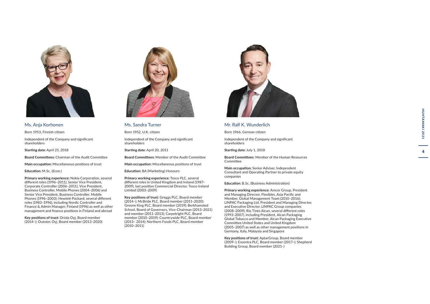

Ms. Anja Korhonen

Born 1953, Finnish citizen

Independent of the Company and significant shareholders

**Starting date:** April 25, 2018

**Board Committees:** Chairman of the Audit Committee

**Main occupation:** Miscellaneous positions of trust

**Education:** M.Sc. (Econ.)

**Primary working experience:** Nokia Corporation, several different roles (1996–2011), Senior Vice President, Corporate Controller (2006–2011), Vice President, Business Controller, Mobile Phones (2004–2006) and Senior Vice President, Business Controller, Mobile Phones (1996–2003); Hewlett-Packard, several different roles (1983–1996), including Nordic Controller and Finance & Admin Manager, Finland (1996) as well as other management and finance positions in Finland and abroad

**Key positions of trust:** Oriola Oyj, Board member (2014–); Outotec Oyj, Board member (2013–2020)



Ms. Sandra Turner

Born 1952, U.K. citizen

Independent of the Company and significant shareholders

**Starting date:** April 20, 2011

**Board Committees:** Member of the Audit Committee

**Main occupation:** Miscellaneous positions of trust

**Education:** BA (Marketing) Honours

**Primary working experience:** Tesco PLC, several different roles in United Kingdom and Ireland (1987– 2009), last position Commercial Director, Tesco Ireland Limited (2003–2009)

**Key positions of trust:** Greggs PLC, Board member (2014–); McBride PLC, Board member (2011–2020); Greene King PLC, Board member (2019); Berkhamsted School, Board of Governors, Vice-Chairman (2013–2021) and member (2011–2013); Carpetright PLC, Board member (2010–2019); Countrywide PLC, Board member (2013– 2014); Northern Foods PLC, Board member (2010–2011)



#### Mr. Ralf K. Wunderlich

Born 1966, German citizen

Independent of the Company and significant shareholders

**Starting date:** July 1, 2018

**Board Committees** : Member of the Human Resources Committee

**Main occupation:** Senior Adviser, Independent Consultant and Operating Partner to private equity companies

**Education:** B.Sc. (Business Administration)

**Primary working experience:** Amcor Group, President and Managing Director, Flexibles, Asia Pacific and Member, Global Management Team (2010–2016); LINPAC Packaging Ltd, President and Managing Director, and Executive Director, LINPAC Group companies (2008–2009); Rio Tinto Alcan, several different roles (1993–2007), including President, Alcan Packaging Global Tobacco and Member, Alcan Packaging Executive Committee United States and United Kingdom (2005–2007) as well as other management positions in Germany, Italy, Malaysia and Singapore

**Key positions of trust:** AptarGroup, Board member (2009–); Essentra PLC, Board member (2017–); Shepherd Building Group, Board member (2021–)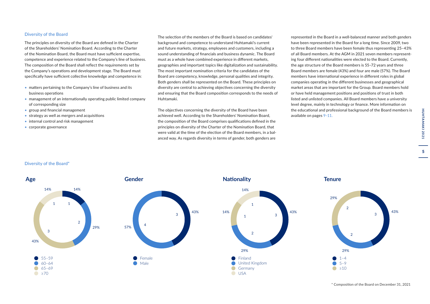#### Diversity of the Board

The principles on diversity of the Board are defined in the Charter of the Shareholders' Nomination Board. According to the Charter of the Nomination Board, the Board must have sufficient expertise, competence and experience related to the Company's line of business. The composition of the Board shall reflect the requirements set by the Company's operations and development stage. The Board must specifically have sufficient collective knowledge and competence in:

- matters pertaining to the Company's line of business and its business operations
- management of an internationally operating public limited company of corresponding size
- group and financial management
- strategy as well as mergers and acquisitions
- internal control and risk management
- corporate governance

The selection of the members of the Board is based on candidates' background and competence to understand Huhtamaki's current and future markets, strategy, employees and customers, including a sound understanding of financials and business dynamic. The Board must as a whole have combined experience in different markets, geographies and important topics like digitalization and sustainability. The most important nomination criteria for the candidates of the Board are competency, knowledge, personal qualities and integrity. Both genders shall be represented on the Board. These principles on diversity are central to achieving objectives concerning the diversity and ensuring that the Board composition corresponds to the needs of Huhtamaki.

The objectives concerning the diversity of the Board have been achieved well. According to the Shareholders' Nomination Board, the composition of the Board comprises qualifications defined in the principles on diversity of the Charter of the Nomination Board, that were valid at the time of the election of the Board members, in a balanced way. As regards diversity in terms of gender, both genders are

represented in the Board in a well-balanced manner and both genders have been represented in the Board for a long time. Since 2009, two to three Board members have been female thus representing 25–43% of all Board members. At the AGM in 2021 seven members representing four different nationalities were elected to the Board. Currently, the age structure of the Board members is 55–72 years and three Board members are female (43%) and four are male (57%). The Board members have international experience in different roles in global companies operating in the different businesses and geographical market areas that are important for the Group. Board members hold or have held management positions and positions of trust in both listed and unlisted companies. All Board members have a university level degree, mainly in technology or finance. More information on the educational and professional background of the Board members is available on pages [9–11.](#page-10-0)

#### Diversity of the Board\*







HUHTAMAKI 2021 5**HUHTAMAKI 2021** $5<sup>1</sup>$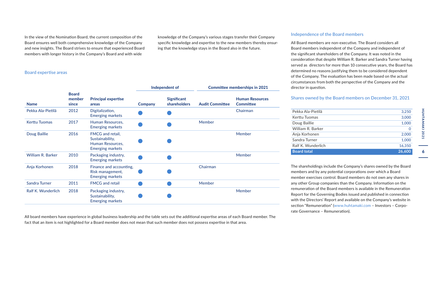In the view of the Nomination Board, the current composition of the Board ensures well both comprehensive knowledge of the Company and new insights. The Board strives to ensure that experienced Board members with longer history in the Company's Board and with wide

knowledge of the Company's various stages transfer their Company specific knowledge and expertise to the new members thereby ensuring that the knowledge stays in the Board also in the future.

#### Board expertise areas

| <b>Name</b>              |                                 | Independent of                                                                     |                | <b>Committee memberships in 2021</b>      |                        |                                            |
|--------------------------|---------------------------------|------------------------------------------------------------------------------------|----------------|-------------------------------------------|------------------------|--------------------------------------------|
|                          | <b>Board</b><br>member<br>since | <b>Principal expertise</b><br>areas                                                | <b>Company</b> | <b>Significant</b><br><b>shareholders</b> | <b>Audit Committee</b> | <b>Human Resources</b><br><b>Committee</b> |
| Pekka Ala-Pietilä        | 2012                            | Digitalization,<br><b>Emerging markets</b>                                         |                |                                           |                        | Chairman                                   |
| <b>Kerttu Tuomas</b>     | 2017                            | Human Resources.<br><b>Emerging markets</b>                                        |                |                                           | Member                 |                                            |
| Doug Baillie             | 2016                            | FMCG and retail,<br>Sustainability,<br>Human Resources,<br><b>Emerging markets</b> |                |                                           |                        | Member                                     |
| <b>William R. Barker</b> | 2010                            | Packaging industry,<br><b>Emerging markets</b>                                     |                |                                           |                        | Member                                     |
| Anja Korhonen            | 2018                            | Finance and accounting.<br>Risk management,<br><b>Emerging markets</b>             |                |                                           | Chairman               |                                            |
| <b>Sandra Turner</b>     | 2011                            | <b>FMCG</b> and retail                                                             |                |                                           | Member                 |                                            |
| Ralf K. Wunderlich       | 2018                            | Packaging industry,<br>Sustainability,<br><b>Emerging markets</b>                  |                |                                           |                        | Member                                     |

All board members have experience in global business leadership and the table sets out the additional expertise areas of each Board member. The fact that an item is not highlighted for a Board member does not mean that such member does not possess expertise in that area.

#### Independence of the Board members

All Board members are non-executive. The Board considers all Board members independent of the Company and independent of the significant shareholders of the Company. It was noted in the consideration that despite William R. Barker and Sandra Turner having served as directors for more than 10 consecutive years, the Board has determined no reasons justifying them to be considered dependent of the Company. The evaluation has been made based on the actual circumstances from both the perspective of the Company and the director in question.

#### Shares owned by the Board members on December 31, 2021

| <b>Board total</b> | 26,600 |
|--------------------|--------|
| Ralf K. Wunderlich | 16.350 |
| Sandra Turner      | 1.000  |
| Anja Korhonen      | 2,000  |
| William R. Barker  | 0      |
| Doug Baillie       | 1,000  |
| Kerttu Tuomas      | 3,000  |
| Pekka Ala-Pietilä  | 3,250  |

The shareholdings include the Company's shares owned by the Board members and by any potential corporations over which a Board member exercises control. Board members do not own any shares in any other Group companies than the Company. Information on the remuneration of the Board members is available in the Remuneration Report for the Governing Bodies issued and published in connection with the Directors' Report and available on the Company's website in section "Remuneration" [\(www.huhtamaki.com](https://www.huhtamaki.com/en/investors/corporate-governance/remuneration/) – Investors – Corporate Governance – Remuneration).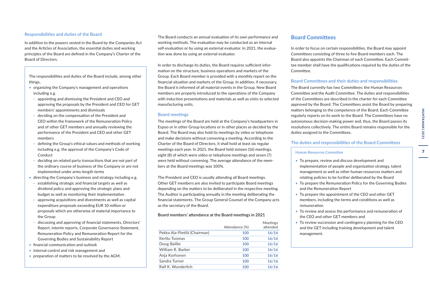#### Responsibilities and duties of the Board

In addition to the powers vested in the Board by the Companies Act and the Articles of Association, the essential duties and working principles of the Board are defined in the Company's Charter of the Board of Directors.

The responsibilities and duties of the Board include, among other things,

- organizing the Company's management and operations including e.g.
- appointing and dismissing the President and CEO and approving the proposals by the President and CEO for GET members' appointments and dismissals
- deciding on the compensation of the President and CEO within the framework of the Remuneration Policy and of other GET members and annually reviewing the performance of the President and CEO and other GET members
- defining the Group's ethical values and methods of working including e.g. the approval of the Company's Code of Conduct
- deciding on related party transactions that are not part of the ordinary course of business of the Company or are not implemented under arms-length terms
- directing the Company's business and strategy including e.g.
- establishing strategic and financial targets as well as dividend policy and approving the strategic plans and budget as well as monitoring their implementation
- approving acquisitions and divestments as well as capital expenditure proposals exceeding EUR 10 million or proposals which are otherwise of material importance to the Group
- discussing and approving of financial statements, Directors' Report, interim reports, Corporate Governance Statement, Remuneration Policy and Remuneration Report for the Governing Bodies and Sustainability Report
- financial communication and outlook
- internal control and risk management and
- preparation of matters to be resolved by the AGM.

The Board conducts an annual evaluation of its own performance and working methods. The evaluation may be conducted as an internal self-evaluation or by using an external evaluator. In 2021, the evaluation was done by using an external evaluator.

In order to discharge its duties, the Board requires sufficient information on the structure, business operations and markets of the Group. Each Board member is provided with a monthly report on the financial situation and markets of the Group. In addition, if necessary, the Board is informed of all material events in the Group. New Board members are properly introduced to the operations of the Company with induction presentations and materials as well as visits to selected manufacturing units.

#### Board meetings

The meetings of the Board are held at the Company's headquarters in Espoo or in other Group locations or in other places as decided by the Board. The Board may also hold its meetings by video or telephone and make decisions without convening a meeting. According to the Charter of the Board of Directors, it shall hold at least six regular meetings each year. In 2021, the Board held sixteen (16) meetings, eight (8) of which were video or telephone meetings and seven (7) were held without convening. The average attendance of the members at the Board meetings was 100%.

The President and CEO is usually attending all Board meetings. Other GET members are also invited to participate Board meetings depending on the matters to be deliberated in the respective meeting. The Auditor is participating annually in the meeting deliberating the financial statements. The Group General Counsel of the Company acts as the secretary of the Board.

#### Board members' attendance at the Board meetings in 2021

|                              | Attendance (%) | Meetings<br>attended |
|------------------------------|----------------|----------------------|
| Pekka Ala-Pietilä (Chairman) | 100            | 16/16                |
| Kerttu Tuomas                | 100            | 16/16                |
| Doug Baillie                 | 100            | 16/16                |
| William R. Barker            | 100            | 16/16                |
| Anja Korhonen                | 100            | 16/16                |
| Sandra Turner                | 100            | 16/16                |
| Ralf K. Wunderlich           | 100            | 16/16                |

## **Board Committees**

In order to focus on certain responsibilities, the Board may appoint Committees consisting of three to five Board members each. The Board also appoints the Chairman of each Committee. Each Committee member shall have the qualifications required by the duties of the Committee.

#### Board Committees and their duties and responsibilities

The Board currently has two Committees: the Human Resources Committee and the Audit Committee. The duties and responsibilities of the Committees are described in the charter for each Committee approved by the Board. The Committees assist the Board by preparing matters belonging to the competence of the Board. Each Committee regularly reports on its work to the Board. The Committees have no autonomous decision-making power and, thus, the Board passes its resolutions collectively. The entire Board remains responsible for the duties assigned to the Committees.

The duties and responsibilities of the Board Committees

#### Human Resources Committee

- To prepare, review and discuss development and implementation of people and organization strategy, talent management as well as other human resources matters and relating policies to be further deliberated by the Board
- To prepare the Remuneration Policy for the Governing Bodies and the Remuneration Report
- To prepare the appointment of the CEO and other GET members, including the terms and conditions as well as remuneration
- To review and assess the performance and remuneration of the CEO and other GET members and
- To review succession and contingency planning for the CEO and the GET including training development and talent management.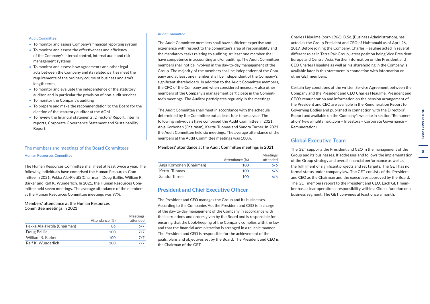#### Audit Committee

- To monitor and assess Company's financial reporting system
- To monitor and assess the effectiveness and efficiency of the Company's internal control, internal audit and risk management systems
- To monitor and assess how agreements and other legal acts between the Company and its related parties meet the requirements of the ordinary course of business and arm's length terms
- To monitor and evaluate the independence of the statutory auditor, and in particular the provision of non-audit services
- To monitor the Company's auditing
- To prepare and make the recommendation to the Board for the election of the statutory auditor at the AGM
- To review the financial statements, Directors' Report, interim reports, Corporate Governance Statement and Sustainability Report.

#### The members and meetings of the Board Committees Human Resources Committee

The Human Resources Committee shall meet at least twice a year. The following individuals have comprised the Human Resources Committee in 2021: Pekka Ala-Pietilä (Chairman), Doug Baillie, William R. Barker and Ralf K. Wunderlich. In 2021, the Human Resources Committee held seven meetings. The average attendance of the members at the Human Resources Committee meetings was 97%.

#### Members' attendance at the Human Resources Committee meetings in 2021

|                              | Attendance (%) | <b>Meetings</b><br>attended |
|------------------------------|----------------|-----------------------------|
| Pekka Ala-Pietilä (Chairman) | 86             | 6/7                         |
| Doug Baillie                 | 100            | 7/7                         |
| William R. Barker            | 100            | 7/7                         |
| Ralf K. Wunderlich           | 100            | 777                         |

#### Audit Committee

The Audit Committee members shall have sufficient expertise and experience with respect to the committee's area of responsibility and the mandatory tasks relating to auditing. At least one member shall have competence in accounting and/or auditing. The Audit Committee members shall not be involved in the day-to-day management of the Group. The majority of the members shall be independent of the Company and at least one member shall be independent of the Company's significant shareholders. In addition to the Audit Committee members, the CFO of the Company and when considered necessary also other members of the Company's management participate in the Committee's meetings. The Auditor participates regularly in the meetings.

The Audit Committee shall meet in accordance with the schedule determined by the Committee but at least four times a year. The following individuals have comprised the Audit Committee in 2021: Anja Korhonen (Chairman), Kerttu Tuomas and Sandra Turner. In 2021, the Audit Committee held six meetings. The average attendance of the members at the Audit Committee meetings was 100%.

#### Members' attendance at the Audit Committee meetings in 2021

|                          | Attendance (%) | Meetings<br>attended |
|--------------------------|----------------|----------------------|
| Anja Korhonen (Chairman) | 100            | 6/6                  |
| Kerttu Tuomas            | 100            | 6/6                  |
| Sandra Turner            | 100            | 6/6                  |
|                          |                |                      |

#### **President and Chief Executive Officer**

The President and CEO manages the Group and its businesses. According to the Companies Act the President and CEO is in charge of the day-to-day management of the Company in accordance with the instructions and orders given by the Board and is responsible for ensuring that the book-keeping of the Company complies with the law and that the financial administration is arranged in a reliable manner. The President and CEO is responsible for the achievement of the goals, plans and objectives set by the Board. The President and CEO is the Chairman of the GET.

Charles Héaulmé (born 1966), B.Sc. (Business Administration), has acted as the Group President and CEO of Huhtamaki as of April 26, 2019. Before joining the Company, Charles Héaulmé acted in several different roles in Tetra Pak Group, latest position being Vice President Europe and Central Asia. Further information on the President and CEO Charles Héaulmé as well as his shareholding in the Company is available later in this statement in connection with information on other GET members.

Certain key conditions of the written Service Agreement between the Company and the President and CEO Charles Héaulmé, President and CEO's remuneration and information on the pension arrangement of the President and CEO are available in the Remuneration Report for Governing Bodies and published in connection with the Directors' Report and available on the Company's website in section "Remuneration" (www.huhtamaki.com – Investors – Corporate Governance – Remuneration).

## **Global Executive Team**

The GET supports the President and CEO in the management of the Group and its businesses. It addresses and follows the implementation of the Group strategy and overall financial performance as well as the fulfillment of significant projects and set targets. The GET has no formal status under company law. The GET consists of the President and CEO as the Chairman and the executives approved by the Board. The GET members report to the President and CEO. Each GET member has a clear operational responsibility within a Global function or a business segment. The GET convenes at least once a month.

 $\mathbf{a}$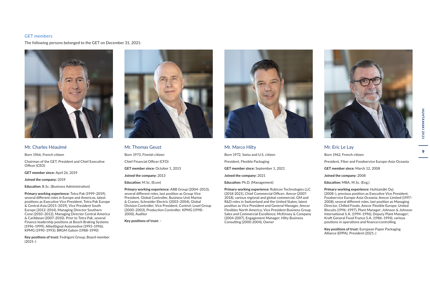#### <span id="page-10-0"></span>GET members

The following persons belonged to the GET on December 31, 2021:



#### Mr. Charles Héaulmé

Born 1966, French citizen

Chairman of the GET, President and Chief Executive Officer (CEO)

**GET member since:** April 26, 2019

**Joined the company:** 2019

**Education:** B.Sc. (Business Administration)

**Primary working experience:** Tetra Pak (1999–2019), several different roles in Europe and Americas, latest positions as Executive Vice President, Tetra Pak Europe & Central Asia (2015–2019), Vice President South Europe (2012–2014), Managing Director Southern Cone (2010–2012), Managing Director Central America & Caribbean (2007–2010). Prior to Tetra Pak, several Finance leadership positions at Bosch Braking Systems (1996–1999); AlliedSignal Automotive (1993–1996); KPMG (1990–1993); BRGM Gabon (1988–1990)

**Key positions of trust:** Fedrigoni Group, Board member (2021–)



Mr. Thomas Geust Born 1973, Finnish citizen Chief Financial Officer (CFO) **GET member since:** October 1, 2013 **Joined the company:** 2013 **Education:** M.Sc. (Econ)

**Primary working experience:** ABB Group (2004–2013), several different roles, last position as Group Vice President, Global Controller, Business Unit Marine & Cranes; Schneider Electric (2003–2004), Global Division Controller, Vice President, Control; Lexel Group (2000–2003), Production Controller; KPMG (1998– 2000), Auditor

**Key positions of trust:** –



## Mr. Marco Hilty Born 1972, Swiss and U.S. citizen President, Flexible Packaging **GET member since:** September 1, 2021 **Joined the company:** 2021 **Education:** Ph.D. (Management)

**Primary working experience:** Rubicon Technologies LLC (2018-2021), Chief Commercial Officer; Amcor (2007- 2018), various regional and global commercial, GM and R&D roles in Switzerland and the United States; latest position as Vice President and General Manager, Amcor Flexibles North America; Vice President Business Group Sales and Commercial Excellence; McKinsey & Company (2004-2007), Engagement Manager; Hilty Business Consulting (2000-2004), Owner



Mr. Eric Le Lay Born 1962, French citizen President, Fiber and Foodservice Europe-Asia-Oceania **GET member since:** March 12, 2008 **Joined the company:** 2008 **Education:** MBA, M.Sc. (Eng.)

**Primary working experience:** Huhtamäki Oyj (2008–), previous position as Executive Vice President, Foodservice Europe-Asia-Oceania; Amcor Limited (1997– 2008), several different roles, last position as Managing Director, Chilled Foods, Amcor Flexible Europe; United Biscuits (1996–1997), Plant Manager; Johnson & Johnson International S.A. (1994–1996), Deputy Plant Manager; Kraft General Food France S.A. (1986–1994), various positions in operations and finance/controlling

**Key positions of trust:** European Paper Packaging Alliance (EPPA), President (2021–)

 $\bullet$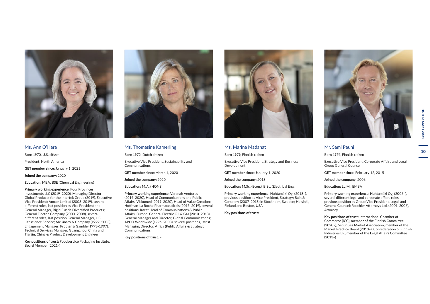

Ms. Ann O'Hara Born 1970, U.S. citizen President, North America **GET member since:** January 1, 2021 **Joined the company:** 2020

**Education:** MBA, BSE (Chemical Engineering)

**Primary working experience:** Four Provinces Investments LLC (2019–2020), Managing Director; Global Products for the Intertek Group (2019), Executive Vice President; Amcor Limited (2008–2019), several different roles, last position as Vice President and General Manager, Rigid Plastic Diversified Products; General Electric Company (2003–2008), several different roles, last position General Manager, HC Lifescience Service; McKinsey & Company (1999–2003), Engagement Manager; Procter & Gamble (1993–1997), Technical Services Manager, Guangzhou, China and Tianjin, China & Product Development Engineer

**Key positions of trust:** Foodservice Packaging Institute, Board Member (2021–)



Ms. Thomasine Kamerling

Born 1972, Dutch citizen

Executive Vice President, Sustainability and Communications

**GET member since:** March 1, 2020

**Joined the company:** 2020

**Education:** M.A. (HONS)

**Primary working experience:** Varanah Ventures (2019–2020), Head of Communications and Public Affairs; Viskumed (2019–2020), Head of Value Creation; Hoffman-La Roche Pharmaceuticals (2015–2019), several positions, latest Head of Communications & Public Affairs, Europe; General Electric Oil & Gas (2010–2013), General Manager and Director, Global Communications; APCO Worldwide (1996–2008), several positions, latest Managing Director, Africa (Public Affairs & Strategic Communications)

**Key positions of trust:** –



#### Ms. Marina Madanat

Born 1979, Finnish citizen

Executive Vice President, Strategy and Business Development

**GET member since:** January 1, 2020

**Joined the company:** 2018

**Education:** M.Sc. (Econ.), B.Sc. (Electrical Eng.)

**Primary working experience:** Huhtamäki Oyj (2018–), previous position as Vice President, Strategy; Bain & Company (2007–2018) in Stockholm, Sweden; Helsinki, Finland and Boston, USA

**Key positions of trust:** –



## Mr. Sami Pauni

Born 1974, Finnish citizen

Executive Vice President, Corporate Affairs and Legal, Group General Counsel

**GET member since:** February 12, 2015

**Joined the company:** 2006

**Education:** LL.M., EMBA

**Primary working experience:** Huhtamäki Oyj (2006–), several different legal and corporate affairs roles, previous position as Group Vice President, Legal, and General Counsel; Roschier Attorneys Ltd. (2001–2006), Attorney

**Key positions of trust:** International Chamber of Commerce (ICC), member of the Finnish Committee (2020–); Securities Market Association, member of the Market Practice Board (2013–); Confederation of Finnish Industries EK, member of the Legal Affairs Committee  $(2013-)$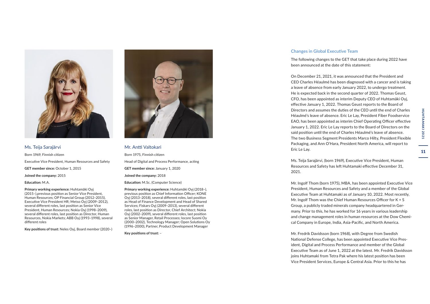

Ms. Teija Sarajärvi Born 1969, Finnish citizen Executive Vice President, Human Resources and Safety **GET member since:** October 1, 2015 **Joined the company:** 2015 **Education:** M.A.

**Primary working experience:** Huhtamäki Oyj (2015–),previous position as Senior Vice President, Human Resources; OP Financial Group (2012–2015), Executive Vice President HR; Metso Oyj (2009–2012), several different roles, last position as Senior Vice President, Human Resources; Nokia Oyj (1998–2009), several different roles, last position as Director, Human Resources, Nokia Markets; ABB Oyj (1993–1998), several different roles

**Key positions of trust:** Neles Oyj, Board member (2020–)



#### Mr. Antti Valtokari

Born 1975, Finnish citizen

Head of Digital and Process Performance, acting

**GET member since:** January 1, 2020

**Joined the company:** 2018

**Education:** M.Sc. (Computer Science)

**Primary working experience:** Huhtamäki Oyj (2018–), previous position as Chief Information Officer; KONE Oyj (2013–2018), several different roles, last position as Head of Finance Development and Head of Shared Services; Fiskars Oyj (2009–2013), several different roles, last position as Director, Chief Architect; Nokia Oyj (2002–2009), several different roles, last position as Senior Manager, Retail Processes; Iocore Suomi Oy (2000–2002), Technology Manager; Open Solutions Oy (1996–2000), Partner, Product Development Manager

**Key positions of trust:** –

#### Changes in Global Executive Team

The following changes to the GET that take place during 2022 have been announced at the date of this statement:

On December 21, 2021, it was announced that the President and CEO Charles Héaulmé has been diagnosed with a cancer and is taking a leave of absence from early January 2022, to undergo treatment. He is expected back in the second quarter of 2022. Thomas Geust, CFO, has been appointed as interim Deputy CEO of Huhtamäki Oyj, effective January 1, 2022. Thomas Geust reports to the Board of Directors and assumes the duties of the CEO until the end of Charles Héaulmé's leave of absence. Eric Le Lay, President Fiber Foodservice EAO, has been appointed as interim Chief Operating Officer effective January 1, 2022. Eric Le Lay reports to the Board of Directors on the said position until the end of Charles Héaulmé's leave of absence. The two Business Segment Presidents Marco Hilty, President Flexible Packaging, and Ann O'Hara, President North America, will report to Eric Le Lay.

Ms. Teija Sarajärvi, (born 1969), Executive Vice President, Human Resources and Safety has left Huhtamaki effective December 31, 2021.

Mr. Ingolf Thom (born 1975), MBA, has been appointed Executive Vice President, Human Resources and Safety and a member of the Global Executive Team at Huhtamaki as of January 10, 2022. Most recently, Mr. Ingolf Thom was the Chief Human Resources Officer for K + S Group, a publicly traded minerals company headquartered in Germany. Prior to this, he has worked for 16 years in various leadership and change management roles in human resources at the Dow Chemical Company in Europe, India, Asia-Pacific, and North America.

Mr. Fredrik Davidsson (born 1968), with Degree from Swedish National Defense College, has been appointed Executive Vice President, Digital and Process Performance and member of the Global Executive Team as of June 1, 2022 at the latest. Mr. Fredrik Davidsson joins Huhtamaki from Tetra Pak where his latest position has been Vice President Services, Europe & Central Asia. Prior to this he has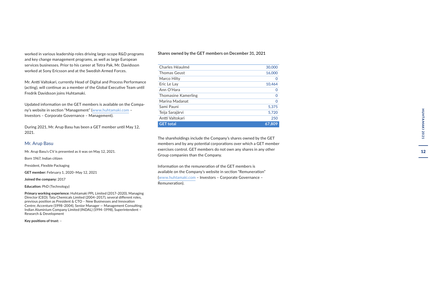worked in various leadership roles driving large-scope R&D programs and key change management programs, as well as large European services businesses. Prior to his career at Tetra Pak, Mr. Davidsson worked at Sony Ericsson and at the Swedish Armed Forces.

Mr. Antti Valtokari, currently Head of Digital and Process Performance (acting), will continue as a member of the Global Executive Team until Fredrik Davidsson joins Huhtamaki.

Updated information on the GET members is available on the Compa ny's website in section "Management" ([www.huhtamaki.com](https://www.huhtamaki.com/en/investors/corporate-governance/management/) – Investors – Corporate Governance – Management).

During 2021, Mr. Arup Basu has been a GET member until May 12, 2021.

#### Mr. Arup Basu

Mr. Arup Basu's CV is presented as it was on May 12, 2021.

Born 1967, Indian citizen

President, Flexible Packaging

**GET member:** February 1, 2020–May 12, 2021

**Joined the company:** 2017

**Education:** PhD (Technology)

**Primary working experience:** Huhtamaki PPL Limited (2017–2020), Managing Director (CEO); Tata Chemicals Limited (2004–2017), several different roles, previous position as President & CTO – New Businesses and Innovation Centre; Accenture (1998–2004), Senior Manager — Management Consulting; Indian Aluminium Company Limited (INDAL) (1994–1998), Superintendent – Research & Development

**Key positions of trust:**  –

#### Shares owned by the GET members on December 31, 2021

| Charles Héaulmé     | 30,000      |
|---------------------|-------------|
| Thomas Geust        | 16,000      |
| Marco Hilty         | 0           |
| Eric Le Lay         | 10,464      |
| Ann O'Hara          | 0           |
| Thomasine Kamerling | $\mathbf 0$ |
| Marina Madanat      | $\mathbf 0$ |
| Sami Pauni          | 5.375       |
| Teija Sarajärvi     | 5,720       |
| Antti Valtokari     | 250         |
| <b>GET</b> total    | 67.809      |

The shareholdings include the Company's shares owned by the GET members and by any potential corporations over which a GET member exercises control. GET members do not own any shares in any other Group companies than the Company.

Information on the remuneration of the GET members is available on the Company's website in section "Remuneration" [\(www.huhtamaki.com](https://www.huhtamaki.com/en/investors/corporate-governance/remuneration/) – Investors – Corporate Governance – Remuneration).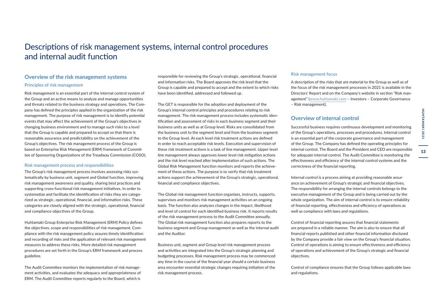**13** 

## <span id="page-14-0"></span>Descriptions of risk management systems, internal control procedures and internal audit function

## **Overview of the risk management systems** Principles of risk management

Risk management is an essential part of the internal control system of the Group and an active means to analyze and manage opportunities and threats related to the business strategy and operations. The Company has defined the principles applied in the organization of the risk management. The purpose of risk management is to identify potential events that may affect the achievement of the Group's objectives in changing business environment and to manage such risks to a level that the Group is capable and prepared to accept so that there is reasonable assurance and predictability on the achievement of the Group's objectives. The risk management process of the Group is based on Enterprise Risk Management (ERM) framework of Committee of Sponsoring Organizations of the Treadway Commission (COSO).

#### Risk management process and responsibilities

The Group's risk management process involves assessing risks systematically by business unit, segment and Global function, improving risk management awareness and quality, sharing best practices and supporting cross-functional risk management initiatives. In order to systematize and facilitate the identification of risks they are categorized as strategic, operational, financial, and information risks. These categories are closely aligned with the strategic, operational, financial and compliance objectives of the Group.

Huhtamaki Group Enterprise Risk Management (ERM) Policy defines the objectives, scope and responsibilities of risk management. Compliance with the risk management policy assures timely identification and recording of risks and the application of relevant risk management measures to address these risks. More detailed risk management procedures are set forth in the Group's ERM framework and process guideline.

The Audit Committee monitors the implementation of risk management activities, and evaluates the adequacy and appropriateness of ERM. The Audit Committee reports regularly to the Board, which is

responsible for reviewing the Group's strategic, operational, financial and information risks. The Board approves the risk level that the Group is capable and prepared to accept and the extent to which risks have been identified, addressed and followed up.

The GET is responsible for the adoption and deployment of the Group's internal control principles and procedures relating to risk management. The risk management process includes systematic identification and assessment of risks in each business segment and their business units as well as at Group level. Risks are consolidated from the business unit to the segment level and from the business segment to the Group level. At each level risk treatment actions are defined in order to reach acceptable risk levels. Execution and supervision of these risk treatment actions is a task of line management. Upper level line management always approves lower level risk mitigation actions and the risk level reached after implementation of such actions. The Global Risk Management function monitors and reports the achievement of these actions. The purpose is to verify that risk treatment actions support the achievement of the Group's strategic, operational, financial and compliance objectives.

The Global risk management function organizes, instructs, supports, supervises and monitors risk management activities on an ongoing basis. The function also analyzes changes in the impact, likelihood and level of control for each identified business risk. It reports results of the risk management process to the Audit Committee annually. The Global risk management function also prepares reports to the business segment and Group management as well as the internal audit and the Auditor.

Business unit, segment and Group level risk management process and activities are integrated into the Group's strategic planning and budgeting processes. Risk management process may be commenced any time in the course of the financial year should a certain business area encounter essential strategic changes requiring initiation of the risk management process.

#### Risk management focus

A description of the risks that are material to the Group as well as of the focus of the risk management processes in 2021 is available in the Directors' Report and on the Company's website in section "Risk management" [\(www.huhtamaki.com](https://www.huhtamaki.com/en/investors/corporate-governance/risk-management/) – Investors – Corporate Governance – Risk management).

#### **Overview of internal control**

Successful business requires continuous development and monitoring of the Group's operations, processes and procedures. Internal control is an essential part of the corporate governance and management of the Group. The Company has defined the operating principles for internal control. The Board and the President and CEO are responsible for adequate internal control. The Audit Committee is monitoring the effectiveness and efficiency of the internal control systems and the correctness of the financial reporting.

Internal control is a process aiming at providing reasonable assurance on achievement of Group's strategic and financial objectives. The responsibility for arranging the internal controls belongs to the executive management of the Group and is being carried out by the whole organization. The aim of internal control is to ensure reliability of financial reporting, effectiveness and efficiency of operations as well as compliance with laws and regulations.

Control of financial reporting assures that financial statements are prepared in a reliable manner. The aim is also to ensure that all financial reports published and other financial information disclosed by the Company provide a fair view on the Group's financial situation. Control of operations is aiming to ensure effectiveness and efficiency of operations and achievement of the Group's strategic and financial objectives.

Control of compliance ensures that the Group follows applicable laws and regulations.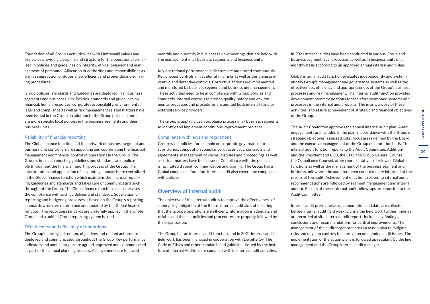Foundation of all Group's activities lies with Huhtamaki values and principles providing discipline and structure for the operations formalized in policies and guidelines on integrity, ethical behavior and management of personnel. Allocation of authorities and responsibilities as well as segregation of duties allow efficient and proper decision-making procedures.

Group policies, standards and guidelines are deployed in all business segments and business units. Policies, standards and guidelines on financial, human resources, corporate responsibility, environmental, legal and compliance as well as risk management related matters have been issued in the Group. In addition to the Group policies, there are more specific local policies in the business segments and their business units.

#### Reliability of financial reporting

The Global finance function and the network of business segment and business unit controllers are supporting and coordinating the financial management and financial control of operations in the Group. The Group's financial reporting guidelines and standards are applicable throughout the financial reporting process of the Group. The interpretation and application of accounting standards are centralized in the Global finance function which maintains the financial reporting guidelines and standards and takes care of communicating such throughout the Group. The Global finance function also supervises the compliance with such guidelines and standards. Supervision of reporting and budgeting processes is based on the Group's reporting standards which are determined and updated by the Global finance function. The reporting standards are uniformly applied in the whole Group and a unified Group reporting system is used.

#### Effectiveness and efficiency of operations

The Group's strategic direction, objectives and related actions are deployed and communicated throughout the Group. Key performance indicators and annual targets are agreed, approved and communicated as part of the annual planning process. Achievements are followed

monthly and quarterly in business review meetings that are held with line management in all business segments and business units.

Key operational performance indicators are monitored continuously. Key process controls aim at identifying risks as well as designing preventive and detective controls. Corrective actions are implemented and monitored by business segment and business unit management. These activities need to be in compliance with Group policies and standards. Internal controls related to quality, safety and environmental processes and procedures are audited both internally and by external service providers.

The Group is applying Lean Six Sigma process in all business segments to identify and implement continuous improvement projects.

#### Compliance with laws and regulations

Group-wide policies, for example on corporate governance for subsidiaries, competition compliance, data privacy, contracts and agreements, management of claims, disputes and proceedings as well as insider matters have been issued. Compliance with the policies is facilitated through communication and training. The Group has a Global compliance function. Internal audit also covers the compliance with policies.

#### **Overview of internal audit**

The objective of the internal audit is to improve the effectiveness of supervising obligation of the Board. Internal audit aims at ensuring that the Group's operations are efficient, information is adequate and reliable and that set policies and procedures are properly followed by the organization.

The Group has an internal audit function, and in 2021 internal audit field work has been managed in cooperation with Deloitte Oy. The Code of Ethics and other standards and guidelines issued by the Institute of Internal Auditors are complied with in internal audit activities.

In 2021 internal audits have been conducted in various Group and business segment level processes as well as in business units on a monthly basis according to an approved annual internal audit plan.

Global internal audit function evaluates independently and systematically Group's management and governance systems as well as the effectiveness, efficiency and appropriateness of the Group's business processes and risk management. The internal audit function provides development recommendations for the aforementioned systems and processes in the internal audit reports. The main purpose of these activities is to assure achievement of strategic and financial objectives of the Group.

The Audit Committee approves the annual internal audit plan. Audit engagements are included in the plan in accordance with the Group's strategic objectives, assessed risks, focus areas defined by the Board and the executive management of the Group on a rotation basis. The internal audit function reports to the Audit Committee. Additionally, the President and CEO, the CFO, the Group General Counsel, the Compliance Counsel, other representatives of relevant Global functions as well as the management of the business segment and business unit where the audit has been conducted are informed of the results of the audit. Achievement of actions related to internal audit recommendations are followed by segment management and internal auditor. Results of these internal audit follow-ups are reported to the Audit Committee.

Internal audit pre-material, documentation and data are collected before internal audit field work. During the field work further findings are recorded at site. Internal audit reports include key findings, conclusions and recommendations for control improvements. The management of the audit target prepares an action plan to mitigate risks and develop controls to improve recommended audit issues. The implementation of the action plans is followed up regularly by the line management and the Group internal audit manager.

14